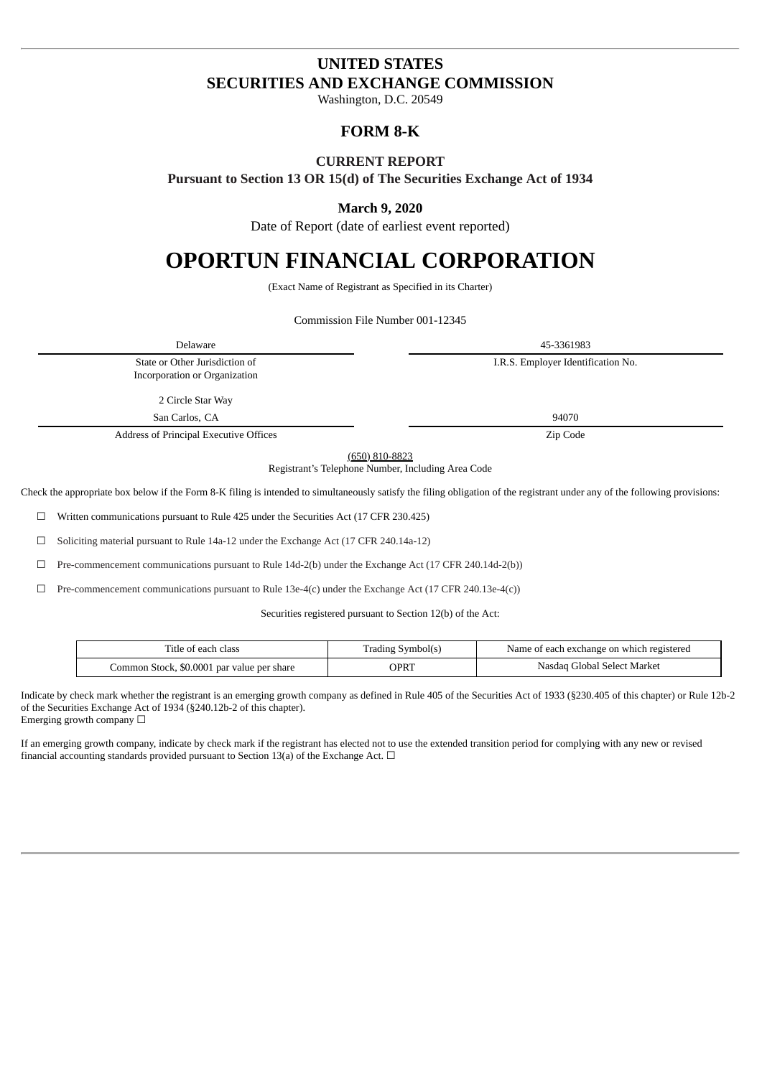# **UNITED STATES SECURITIES AND EXCHANGE COMMISSION**

Washington, D.C. 20549

## **FORM 8-K**

## **CURRENT REPORT**

**Pursuant to Section 13 OR 15(d) of The Securities Exchange Act of 1934**

## **March 9, 2020**

Date of Report (date of earliest event reported)

# **OPORTUN FINANCIAL CORPORATION**

(Exact Name of Registrant as Specified in its Charter)

Commission File Number 001-12345

| Delaware                                                                                                                                                                                                                                  | 45-3361983                         |  |
|-------------------------------------------------------------------------------------------------------------------------------------------------------------------------------------------------------------------------------------------|------------------------------------|--|
| State or Other Jurisdiction of<br>Incorporation or Organization                                                                                                                                                                           | I.R.S. Employer Identification No. |  |
| 2 Circle Star Way                                                                                                                                                                                                                         |                                    |  |
| San Carlos, CA                                                                                                                                                                                                                            | 94070                              |  |
| Address of Principal Executive Offices                                                                                                                                                                                                    | Zip Code                           |  |
| $(650)$ 810-8823<br>Registrant's Telephone Number, Including Area Code<br>propriate box below if the Form 8-K filing is intended to simultaneously satisfy the filing obligation of the registrant under any of the following provisions: |                                    |  |

☐ Pre-commencement communications pursuant to Rule 13e-4(c) under the Exchange Act (17 CFR 240.13e-4(c))

Securities registered pursuant to Section 12(b) of the Act:

| l'itle of each class.                      | Trading Symbol(s) | Name of each exchange on which registered |
|--------------------------------------------|-------------------|-------------------------------------------|
| Common Stock, \$0.0001 par value per share | OPRT              | Nasdag Global Select Market               |

Indicate by check mark whether the registrant is an emerging growth company as defined in Rule 405 of the Securities Act of 1933 (§230.405 of this chapter) or Rule 12b-2 of the Securities Exchange Act of 1934 (§240.12b-2 of this chapter). Emerging growth company  $\Box$ 

If an emerging growth company, indicate by check mark if the registrant has elected not to use the extended transition period for complying with any new or revised financial accounting standards provided pursuant to Section 13(a) of the Exchange Act.  $\Box$ 

Check the appropriate box below if the Form 8-K filing is intended to simultaneously satisfy the filing obligation of the registrant under any of the following provisions:

☐ Written communications pursuant to Rule 425 under the Securities Act (17 CFR 230.425)

☐ Soliciting material pursuant to Rule 14a-12 under the Exchange Act (17 CFR 240.14a-12)

☐ Pre-commencement communications pursuant to Rule 14d-2(b) under the Exchange Act (17 CFR 240.14d-2(b))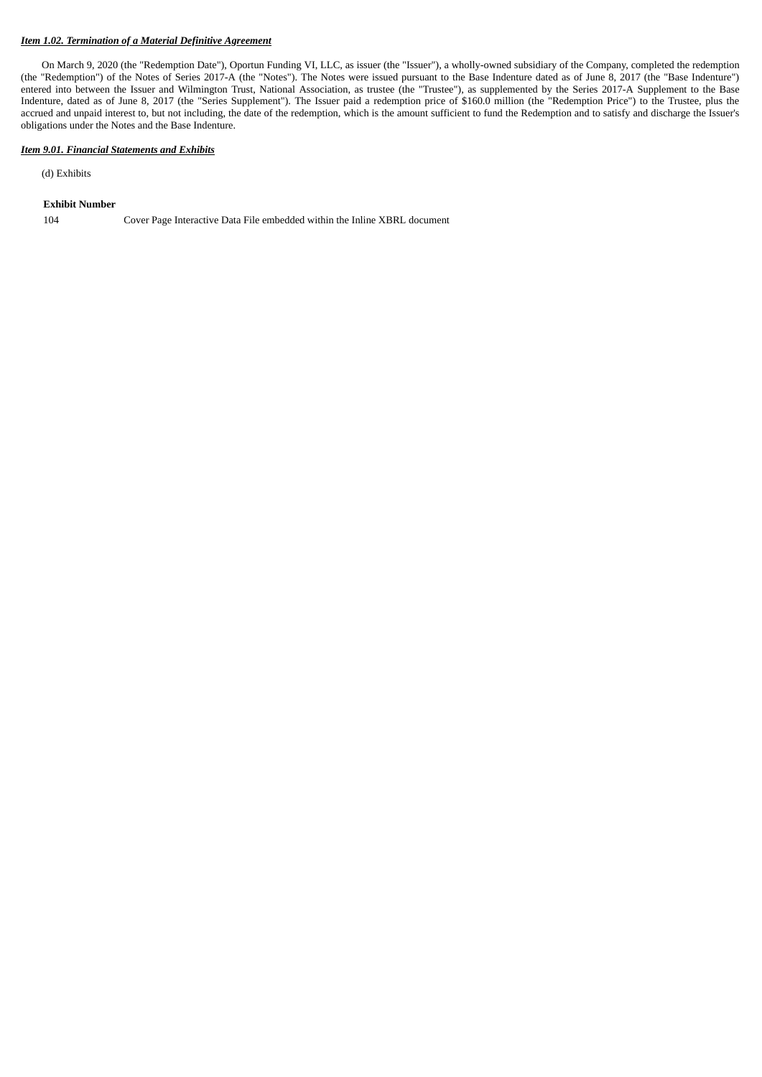### *Item 1.02. Termination of a Material Definitive Agreement*

On March 9, 2020 (the "Redemption Date"), Oportun Funding VI, LLC, as issuer (the "Issuer"), a wholly-owned subsidiary of the Company, completed the redemption (the "Redemption") of the Notes of Series 2017-A (the "Notes"). The Notes were issued pursuant to the Base Indenture dated as of June 8, 2017 (the "Base Indenture") entered into between the Issuer and Wilmington Trust, National Association, as trustee (the "Trustee"), as supplemented by the Series 2017-A Supplement to the Base Indenture, dated as of June 8, 2017 (the "Series Supplement"). The Issuer paid a redemption price of \$160.0 million (the "Redemption Price") to the Trustee, plus the accrued and unpaid interest to, but not including, the date of the redemption, which is the amount sufficient to fund the Redemption and to satisfy and discharge the Issuer's obligations under the Notes and the Base Indenture.

#### *Item 9.01. Financial Statements and Exhibits*

(d) Exhibits

#### **Exhibit Number**

104 Cover Page Interactive Data File embedded within the Inline XBRL document